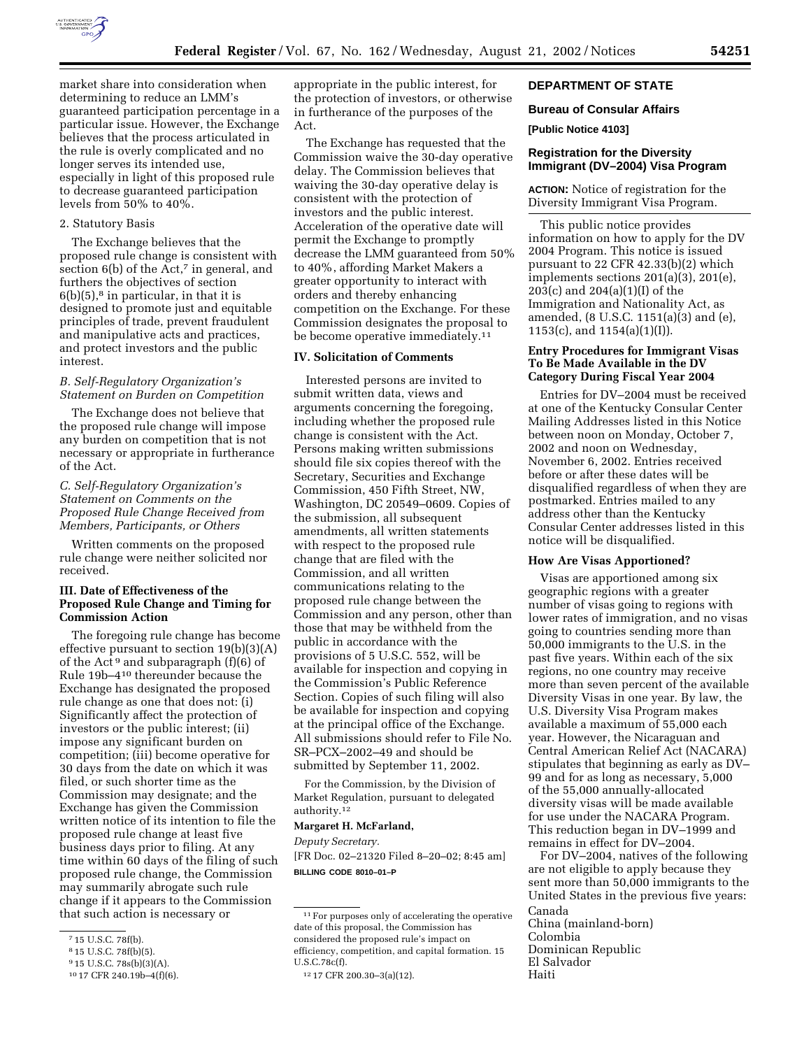

market share into consideration when determining to reduce an LMM's guaranteed participation percentage in a particular issue. However, the Exchange believes that the process articulated in the rule is overly complicated and no longer serves its intended use, especially in light of this proposed rule to decrease guaranteed participation levels from 50% to 40%.

## 2. Statutory Basis

The Exchange believes that the proposed rule change is consistent with section  $6(b)$  of the Act,<sup>7</sup> in general, and furthers the objectives of section  $6(b)(5)$ ,<sup>8</sup> in particular, in that it is designed to promote just and equitable principles of trade, prevent fraudulent and manipulative acts and practices, and protect investors and the public interest.

## *B. Self-Regulatory Organization's Statement on Burden on Competition*

The Exchange does not believe that the proposed rule change will impose any burden on competition that is not necessary or appropriate in furtherance of the Act.

# *C. Self-Regulatory Organization's Statement on Comments on the Proposed Rule Change Received from Members, Participants, or Others*

Written comments on the proposed rule change were neither solicited nor received.

## **III. Date of Effectiveness of the Proposed Rule Change and Timing for Commission Action**

The foregoing rule change has become effective pursuant to section 19(b)(3)(A) of the Act<sup>9</sup> and subparagraph  $(f)(6)$  of Rule 19b–410 thereunder because the Exchange has designated the proposed rule change as one that does not: (i) Significantly affect the protection of investors or the public interest; (ii) impose any significant burden on competition; (iii) become operative for 30 days from the date on which it was filed, or such shorter time as the Commission may designate; and the Exchange has given the Commission written notice of its intention to file the proposed rule change at least five business days prior to filing. At any time within 60 days of the filing of such proposed rule change, the Commission may summarily abrogate such rule change if it appears to the Commission that such action is necessary or

appropriate in the public interest, for the protection of investors, or otherwise in furtherance of the purposes of the Act.

The Exchange has requested that the Commission waive the 30-day operative delay. The Commission believes that waiving the 30-day operative delay is consistent with the protection of investors and the public interest. Acceleration of the operative date will permit the Exchange to promptly decrease the LMM guaranteed from 50% to 40%, affording Market Makers a greater opportunity to interact with orders and thereby enhancing competition on the Exchange. For these Commission designates the proposal to be become operative immediately.<sup>11</sup>

## **IV. Solicitation of Comments**

Interested persons are invited to submit written data, views and arguments concerning the foregoing, including whether the proposed rule change is consistent with the Act. Persons making written submissions should file six copies thereof with the Secretary, Securities and Exchange Commission, 450 Fifth Street, NW, Washington, DC 20549–0609. Copies of the submission, all subsequent amendments, all written statements with respect to the proposed rule change that are filed with the Commission, and all written communications relating to the proposed rule change between the Commission and any person, other than those that may be withheld from the public in accordance with the provisions of 5 U.S.C. 552, will be available for inspection and copying in the Commission's Public Reference Section. Copies of such filing will also be available for inspection and copying at the principal office of the Exchange. All submissions should refer to File No. SR–PCX–2002–49 and should be submitted by September 11, 2002.

For the Commission, by the Division of Market Regulation, pursuant to delegated authority.12

## **Margaret H. McFarland,**

*Deputy Secretary.*

[FR Doc. 02–21320 Filed 8–20–02; 8:45 am] **BILLING CODE 8010–01–P**

## **DEPARTMENT OF STATE**

## **Bureau of Consular Affairs**

## **[Public Notice 4103]**

# **Registration for the Diversity Immigrant (DV–2004) Visa Program**

**ACTION:** Notice of registration for the Diversity Immigrant Visa Program.

This public notice provides information on how to apply for the DV 2004 Program. This notice is issued pursuant to 22 CFR 42.33(b)(2) which implements sections 201(a)(3), 201(e), 203(c) and 204(a)(1)(I) of the Immigration and Nationality Act, as amended, (8 U.S.C. 1151(a)(3) and (e), 1153(c), and 1154(a)(1)(I)).

## **Entry Procedures for Immigrant Visas To Be Made Available in the DV Category During Fiscal Year 2004**

Entries for DV–2004 must be received at one of the Kentucky Consular Center Mailing Addresses listed in this Notice between noon on Monday, October 7, 2002 and noon on Wednesday, November 6, 2002. Entries received before or after these dates will be disqualified regardless of when they are postmarked. Entries mailed to any address other than the Kentucky Consular Center addresses listed in this notice will be disqualified.

#### **How Are Visas Apportioned?**

Visas are apportioned among six geographic regions with a greater number of visas going to regions with lower rates of immigration, and no visas going to countries sending more than 50,000 immigrants to the U.S. in the past five years. Within each of the six regions, no one country may receive more than seven percent of the available Diversity Visas in one year. By law, the U.S. Diversity Visa Program makes available a maximum of 55,000 each year. However, the Nicaraguan and Central American Relief Act (NACARA) stipulates that beginning as early as DV– 99 and for as long as necessary, 5,000 of the 55,000 annually-allocated diversity visas will be made available for use under the NACARA Program. This reduction began in DV–1999 and remains in effect for DV–2004.

For DV–2004, natives of the following are not eligible to apply because they sent more than 50,000 immigrants to the United States in the previous five years: Canada China (mainland-born) Colombia Dominican Republic El Salvador

<sup>7</sup> 15 U.S.C. 78f(b).

<sup>8</sup> 15 U.S.C. 78f(b)(5).

<sup>9</sup> 15 U.S.C. 78s(b)(3)(A).

<sup>10</sup> 17 CFR 240.19b–4(f)(6).

<sup>&</sup>lt;sup>11</sup> For purposes only of accelerating the operative date of this proposal, the Commission has considered the proposed rule's impact on efficiency, competition, and capital formation. 15 U.S.C.78c(f).

<sup>12</sup> 17 CFR 200.30–3(a)(12).

Haiti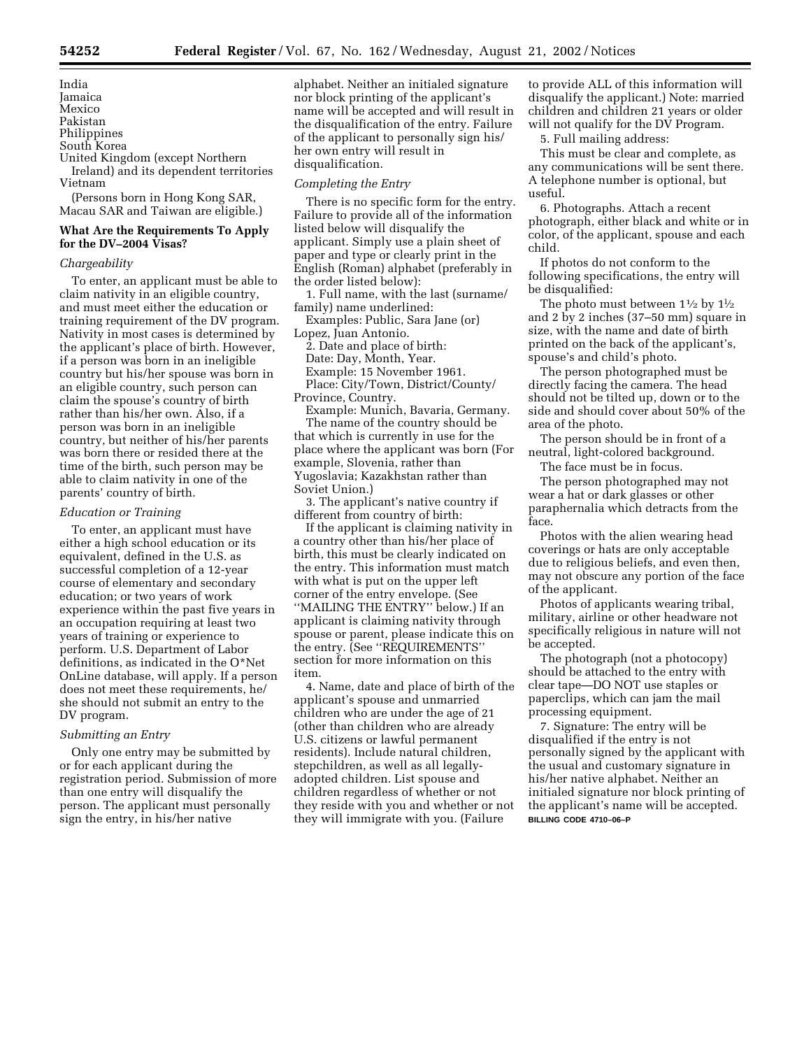India Jamaica Mexico Pakistan Philippines South Korea United Kingdom (except Northern Ireland) and its dependent territories Vietnam

(Persons born in Hong Kong SAR, Macau SAR and Taiwan are eligible.)

# **What Are the Requirements To Apply for the DV–2004 Visas?**

## *Chargeability*

To enter, an applicant must be able to claim nativity in an eligible country, and must meet either the education or training requirement of the DV program. Nativity in most cases is determined by the applicant's place of birth. However, if a person was born in an ineligible country but his/her spouse was born in an eligible country, such person can claim the spouse's country of birth rather than his/her own. Also, if a person was born in an ineligible country, but neither of his/her parents was born there or resided there at the time of the birth, such person may be able to claim nativity in one of the parents' country of birth.

#### *Education or Training*

To enter, an applicant must have either a high school education or its equivalent, defined in the U.S. as successful completion of a 12-year course of elementary and secondary education; or two years of work experience within the past five years in an occupation requiring at least two years of training or experience to perform. U.S. Department of Labor definitions, as indicated in the O\*Net OnLine database, will apply. If a person does not meet these requirements, he/ she should not submit an entry to the DV program.

## *Submitting an Entry*

Only one entry may be submitted by or for each applicant during the registration period. Submission of more than one entry will disqualify the person. The applicant must personally sign the entry, in his/her native

alphabet. Neither an initialed signature nor block printing of the applicant's name will be accepted and will result in the disqualification of the entry. Failure of the applicant to personally sign his/ her own entry will result in disqualification.

#### *Completing the Entry*

There is no specific form for the entry. Failure to provide all of the information listed below will disqualify the applicant. Simply use a plain sheet of paper and type or clearly print in the English (Roman) alphabet (preferably in the order listed below):

1. Full name, with the last (surname/ family) name underlined:

Examples: Public, Sara Jane (or) Lopez, Juan Antonio.

2. Date and place of birth: Date: Day, Month, Year. Example: 15 November 1961. Place: City/Town, District/County/ Province, Country.

Example: Munich, Bavaria, Germany. The name of the country should be that which is currently in use for the place where the applicant was born (For example, Slovenia, rather than Yugoslavia; Kazakhstan rather than Soviet Union.)

3. The applicant's native country if different from country of birth:

If the applicant is claiming nativity in a country other than his/her place of birth, this must be clearly indicated on the entry. This information must match with what is put on the upper left corner of the entry envelope. (See ''MAILING THE ENTRY'' below.) If an applicant is claiming nativity through spouse or parent, please indicate this on the entry. (See ''REQUIREMENTS'' section for more information on this item.

4. Name, date and place of birth of the applicant's spouse and unmarried children who are under the age of 21 (other than children who are already U.S. citizens or lawful permanent residents). Include natural children, stepchildren, as well as all legallyadopted children. List spouse and children regardless of whether or not they reside with you and whether or not they will immigrate with you. (Failure

to provide ALL of this information will disqualify the applicant.) Note: married children and children 21 years or older will not qualify for the DV Program.

5. Full mailing address:

This must be clear and complete, as any communications will be sent there. A telephone number is optional, but useful.

6. Photographs. Attach a recent photograph, either black and white or in color, of the applicant, spouse and each child.

If photos do not conform to the following specifications, the entry will be disqualified:

The photo must between  $1\frac{1}{2}$  by  $1\frac{1}{2}$ and 2 by 2 inches (37–50 mm) square in size, with the name and date of birth printed on the back of the applicant's, spouse's and child's photo.

The person photographed must be directly facing the camera. The head should not be tilted up, down or to the side and should cover about 50% of the area of the photo.

The person should be in front of a neutral, light-colored background.

The face must be in focus.

The person photographed may not wear a hat or dark glasses or other paraphernalia which detracts from the face.

Photos with the alien wearing head coverings or hats are only acceptable due to religious beliefs, and even then, may not obscure any portion of the face of the applicant.

Photos of applicants wearing tribal, military, airline or other headware not specifically religious in nature will not be accepted.

The photograph (not a photocopy) should be attached to the entry with clear tape—DO NOT use staples or paperclips, which can jam the mail processing equipment.

7. Signature: The entry will be disqualified if the entry is not personally signed by the applicant with the usual and customary signature in his/her native alphabet. Neither an initialed signature nor block printing of the applicant's name will be accepted. **BILLING CODE 4710–06–P**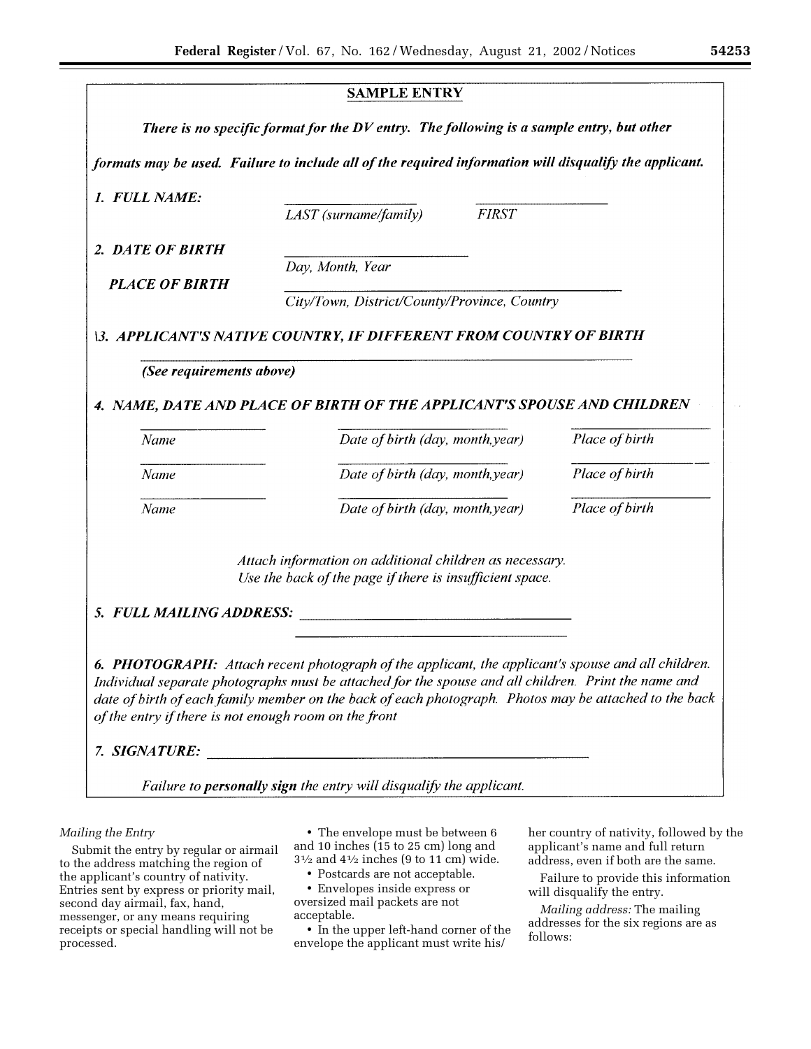|                                                       | <b>SAMPLE ENTRY</b>                                                                                    |                |
|-------------------------------------------------------|--------------------------------------------------------------------------------------------------------|----------------|
|                                                       | There is no specific format for the DV entry. The following is a sample entry, but other               |                |
|                                                       | formats may be used. Failure to include all of the required information will disqualify the applicant. |                |
| 1. FULL NAME:                                         |                                                                                                        |                |
|                                                       | <b>FIRST</b><br>LAST (surname/family)                                                                  |                |
| 2. DATE OF BIRTH                                      |                                                                                                        |                |
|                                                       | Day, Month, Year                                                                                       |                |
| <b>PLACE OF BIRTH</b>                                 | City/Town, District/County/Province, Country                                                           |                |
|                                                       |                                                                                                        |                |
|                                                       | <b>\3. APPLICANT'S NATIVE COUNTRY, IF DIFFERENT FROM COUNTRY OF BIRTH</b>                              |                |
| (See requirements above)                              |                                                                                                        |                |
|                                                       |                                                                                                        |                |
|                                                       | 4. NAME, DATE AND PLACE OF BIRTH OF THE APPLICANT'S SPOUSE AND CHILDREN                                |                |
| Name                                                  | Date of birth (day, month, year)                                                                       | Place of birth |
| Name                                                  | Date of birth (day, month, year)                                                                       | Place of birth |
|                                                       |                                                                                                        |                |
| Name                                                  | Date of birth (day, month, year)                                                                       | Place of birth |
|                                                       |                                                                                                        |                |
|                                                       | Attach information on additional children as necessary.                                                |                |
|                                                       | Use the back of the page if there is insufficient space.                                               |                |
|                                                       |                                                                                                        |                |
| 5. FULL MAILING ADDRESS:                              |                                                                                                        |                |
|                                                       |                                                                                                        |                |
|                                                       | 6. PHOTOGRAPH: Attach recent photograph of the applicant, the applicant's spouse and all children.     |                |
|                                                       | Individual separate photographs must be attached for the spouse and all children. Print the name and   |                |
| of the entry if there is not enough room on the front | date of birth of each family member on the back of each photograph. Photos may be attached to the back |                |
|                                                       | 7. SIGNATURE:                                                                                          |                |

# *Mailing the Entry*

Submit the entry by regular or airmail to the address matching the region of the applicant's country of nativity. Entries sent by express or priority mail, second day airmail, fax, hand, messenger, or any means requiring receipts or special handling will not be processed.

• The envelope must be between 6 and 10 inches (15 to 25 cm) long and  $3\frac{1}{2}$  and  $4\frac{1}{2}$  inches (9 to 11 cm) wide.

• Postcards are not acceptable.

• Envelopes inside express or oversized mail packets are not acceptable.

• In the upper left-hand corner of the envelope the applicant must write his/

her country of nativity, followed by the applicant's name and full return address, even if both are the same.

 $\mathbf{I}$ 

Failure to provide this information will disqualify the entry.

*Mailing address:* The mailing addresses for the six regions are as follows: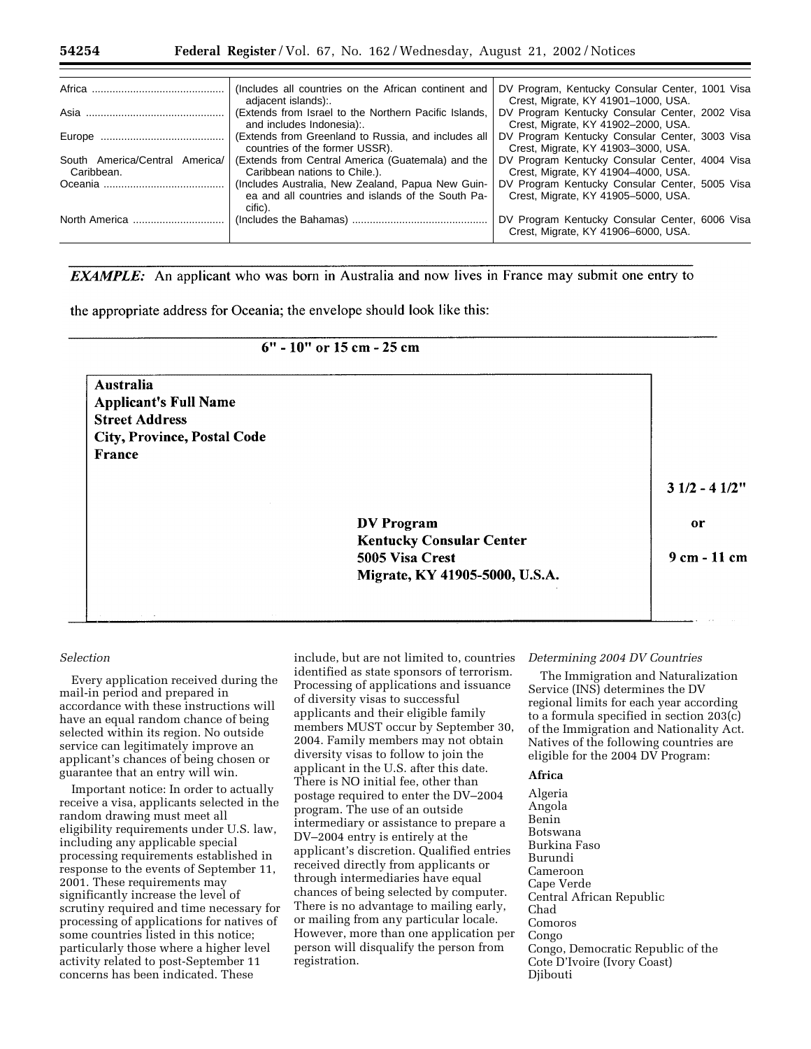|                                              | (Includes all countries on the African continent and<br>adjacent islands):                                        | DV Program, Kentucky Consular Center, 1001 Visa<br>Crest, Migrate, KY 41901-1000, USA. |
|----------------------------------------------|-------------------------------------------------------------------------------------------------------------------|----------------------------------------------------------------------------------------|
|                                              | (Extends from Israel to the Northern Pacific Islands,<br>and includes Indonesia)                                  | DV Program Kentucky Consular Center, 2002 Visa<br>Crest, Migrate, KY 41902-2000, USA.  |
|                                              | (Extends from Greenland to Russia, and includes all<br>countries of the former USSR).                             | DV Program Kentucky Consular Center, 3003 Visa<br>Crest, Migrate, KY 41903-3000, USA.  |
| South America/Central America/<br>Caribbean. | (Extends from Central America (Guatemala) and the<br>Caribbean nations to Chile.).                                | DV Program Kentucky Consular Center, 4004 Visa<br>Crest, Migrate, KY 41904-4000, USA.  |
|                                              | (Includes Australia, New Zealand, Papua New Guin-<br>ea and all countries and islands of the South Pa-<br>cific). | DV Program Kentucky Consular Center, 5005 Visa<br>Crest, Migrate, KY 41905-5000, USA.  |
| North America                                |                                                                                                                   | DV Program Kentucky Consular Center, 6006 Visa<br>Crest, Migrate, KY 41906-6000, USA.  |

**EXAMPLE:** An applicant who was born in Australia and now lives in France may submit one entry to

the appropriate address for Oceania; the envelope should look like this:

| $6"$ - 10" or 15 cm - 25 cm |  |  |  |
|-----------------------------|--|--|--|
|-----------------------------|--|--|--|

| Australia                          |                                 |                |
|------------------------------------|---------------------------------|----------------|
| <b>Applicant's Full Name</b>       |                                 |                |
| <b>Street Address</b>              |                                 |                |
| <b>City, Province, Postal Code</b> |                                 |                |
| France                             |                                 |                |
|                                    |                                 | $31/2 - 41/2"$ |
|                                    | <b>DV</b> Program               | or             |
|                                    | <b>Kentucky Consular Center</b> |                |
|                                    | 5005 Visa Crest                 | 9 cm - 11 cm   |
|                                    | Migrate, KY 41905-5000, U.S.A.  |                |

# *Selection*

Every application received during the mail-in period and prepared in accordance with these instructions will have an equal random chance of being selected within its region. No outside service can legitimately improve an applicant's chances of being chosen or guarantee that an entry will win.

Important notice: In order to actually receive a visa, applicants selected in the random drawing must meet all eligibility requirements under U.S. law, including any applicable special processing requirements established in response to the events of September 11, 2001. These requirements may significantly increase the level of scrutiny required and time necessary for processing of applications for natives of some countries listed in this notice; particularly those where a higher level activity related to post-September 11 concerns has been indicated. These

include, but are not limited to, countries identified as state sponsors of terrorism. Processing of applications and issuance of diversity visas to successful applicants and their eligible family members MUST occur by September 30, 2004. Family members may not obtain diversity visas to follow to join the applicant in the U.S. after this date. There is NO initial fee, other than postage required to enter the DV–2004 program. The use of an outside intermediary or assistance to prepare a DV–2004 entry is entirely at the applicant's discretion. Qualified entries received directly from applicants or through intermediaries have equal chances of being selected by computer. There is no advantage to mailing early, or mailing from any particular locale. However, more than one application per person will disqualify the person from registration.

#### *Determining 2004 DV Countries*

The Immigration and Naturalization Service (INS) determines the DV regional limits for each year according to a formula specified in section 203(c) of the Immigration and Nationality Act. Natives of the following countries are eligible for the 2004 DV Program:

# **Africa**

Algeria Angola Benin Botswana Burkina Faso Burundi Cameroon Cape Verde Central African Republic Chad Comoros Congo Congo, Democratic Republic of the Cote D'Ivoire (Ivory Coast) Djibouti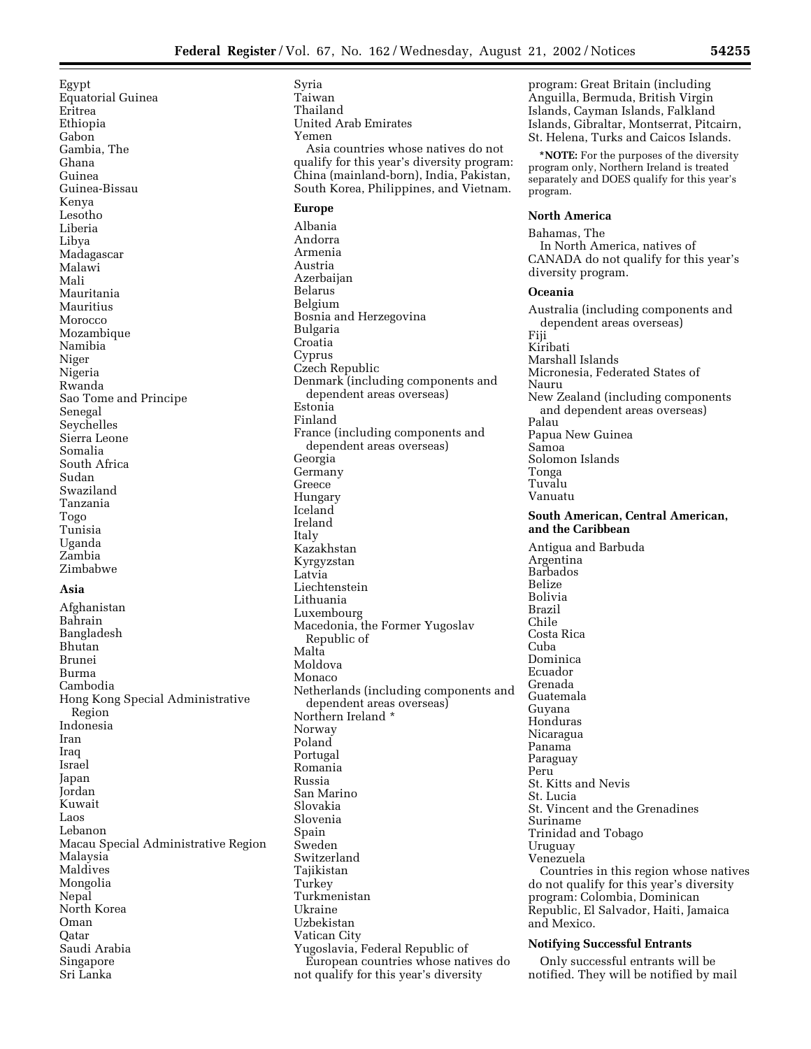Egypt Equatorial Guinea Eritrea Ethiopia Gabon Gambia, The Ghana Guinea Guinea-Bissau Kenya Lesotho Liberia Libya Madagascar Malawi Mali Mauritania Mauritius **Morocco** Mozambique Namibia Niger Nigeria Rwanda Sao Tome and Principe Senegal Seychelles Sierra Leone Somalia South Africa Sudan Swaziland Tanzania Togo Tunisia Uganda Zambia Zimbabwe

# **Asia**

Afghanistan Bahrain Bangladesh Bhutan Brunei Burma Cambodia Hong Kong Special Administrative Region Indonesia Iran Iraq Israel Japan Jordan Kuwait Laos Lebanon Macau Special Administrative Region Malaysia Maldives Mongolia Nepal North Korea Oman Qatar Saudi Arabia Singapore Sri Lanka

Syria Taiwan Thailand United Arab Emirates Yemen Asia countries whose natives do not qualify for this year's diversity program: China (mainland-born), India, Pakistan, South Korea, Philippines, and Vietnam. **Europe**  Albania Andorra Armenia Austria Azerbaijan Belarus Belgium Bosnia and Herzegovina Bulgaria Croatia Cyprus Czech Republic Denmark (including components and dependent areas overseas) Estonia Finland France (including components and dependent areas overseas) Georgia Germany Greece Hungary Iceland Ireland Italy Kazakhstan Kyrgyzstan Latvia Liechtenstein Lithuania Luxembourg Macedonia, the Former Yugoslav Republic of Malta Moldova Monaco Netherlands (including components and dependent areas overseas) Northern Ireland \* Norway Poland Portugal Romania Russia San Marino Slovakia Slovenia Spain Sweden Switzerland Tajikistan Turkey Turkmenistan Ukraine Uzbekistan Vatican City Yugoslavia, Federal Republic of European countries whose natives do not qualify for this year's diversity

program: Great Britain (including Anguilla, Bermuda, British Virgin Islands, Cayman Islands, Falkland Islands, Gibraltar, Montserrat, Pitcairn, St. Helena, Turks and Caicos Islands.

**\*NOTE:** For the purposes of the diversity program only, Northern Ireland is treated separately and DOES qualify for this year's program.

## **North America**

Bahamas, The In North America, natives of CANADA do not qualify for this year's diversity program.

## **Oceania**

Australia (including components and dependent areas overseas) Fiji Kiribati Marshall Islands Micronesia, Federated States of Nauru New Zealand (including components and dependent areas overseas) Palau Papua New Guinea Samoa Solomon Islands Tonga Tuvalu Vanuatu **South American, Central American, and the Caribbean**  Antigua and Barbuda Argentina

Barbados Belize Bolivia Brazil Chile Costa Rica Cuba Dominica Ecuador Grenada Guatemala Guyana Honduras Nicaragua Panama Paraguay Peru St. Kitts and Nevis St. Lucia St. Vincent and the Grenadines Suriname Trinidad and Tobago Uruguay Venezuela Countries in this region whose natives do not qualify for this year's diversity program: Colombia, Dominican Republic, El Salvador, Haiti, Jamaica and Mexico.

## **Notifying Successful Entrants**

Only successful entrants will be notified. They will be notified by mail